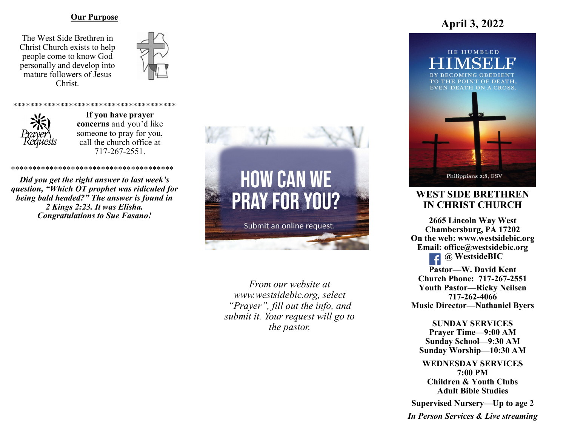#### **Our Purpose**

The West Side Brethren in Christ Church exists to help people come to know God personally and develop into mature followers of Jesus Christ.





**If you have prayer concerns** and you'd like someone to pray for you, call the church office at 717-267-2551.

\*\*\*\*\*\*\*\*\*\*\*\*\*\*\*\*\*\*\*\*\*\*\*\*\*\*\*\*\*\*\*\*\*\*\*\*\*\*

\*\*\*\*\*\*\*\*\*\*\*\*\*\*\*\*\*\*\*\*\*\*\*\*\*\*\*\*\*\*\*\*\*\*\*\*\*\* *Did you get the right answer to last week's question, "Which OT prophet was ridiculed for being bald headed?" The answer is found in 2 Kings 2:23. It was Elisha. Congratulations to Sue Fasano!*



*From our website at www.westsidebic.org, select "Prayer", fill out the info, and submit it. Your request will go to the pastor.*

# **April 3, 2022**



# **WEST SIDE BRETHREN IN CHRIST CHURCH**

**2665 Lincoln Way West Chambersburg, PA 17202 On the web: [www.westsidebic.org](http://www.westsidebic.org) Email: office@westsidebic.org @ WestsideBIC**  Ŧ **Pastor—W. David Kent Church Phone: 717-267-2551 Youth Pastor—Ricky Neilsen**

**717-262-4066 Music Director—Nathaniel Byers**

**SUNDAY SERVICES Prayer Time—9:00 AM Sunday School—9:30 AM Sunday Worship—10:30 AM**

**WEDNESDAY SERVICES 7:00 PM Children & Youth Clubs Adult Bible Studies**

**Supervised Nursery—Up to age 2**

*In Person Services & Live streaming*